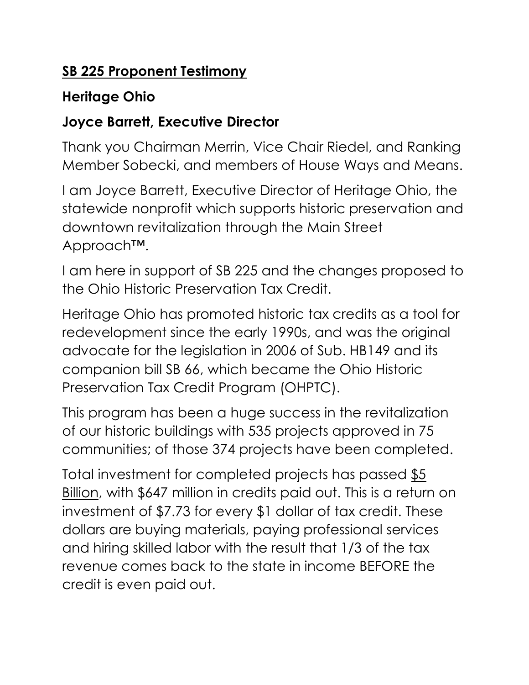### SB 225 Proponent Testimony

# Heritage Ohio

## Joyce Barrett, Executive Director

Thank you Chairman Merrin, Vice Chair Riedel, and Ranking Member Sobecki, and members of House Ways and Means.

I am Joyce Barrett, Executive Director of Heritage Ohio, the statewide nonprofit which supports historic preservation and downtown revitalization through the Main Street Approach™.

I am here in support of SB 225 and the changes proposed to the Ohio Historic Preservation Tax Credit.

Heritage Ohio has promoted historic tax credits as a tool for redevelopment since the early 1990s, and was the original advocate for the legislation in 2006 of Sub. HB149 and its companion bill SB 66, which became the Ohio Historic Preservation Tax Credit Program (OHPTC).

This program has been a huge success in the revitalization of our historic buildings with 535 projects approved in 75 communities; of those 374 projects have been completed.

Total investment for completed projects has passed \$5 Billion, with \$647 million in credits paid out. This is a return on investment of \$7.73 for every \$1 dollar of tax credit. These dollars are buying materials, paying professional services and hiring skilled labor with the result that 1/3 of the tax revenue comes back to the state in income BEFORE the credit is even paid out.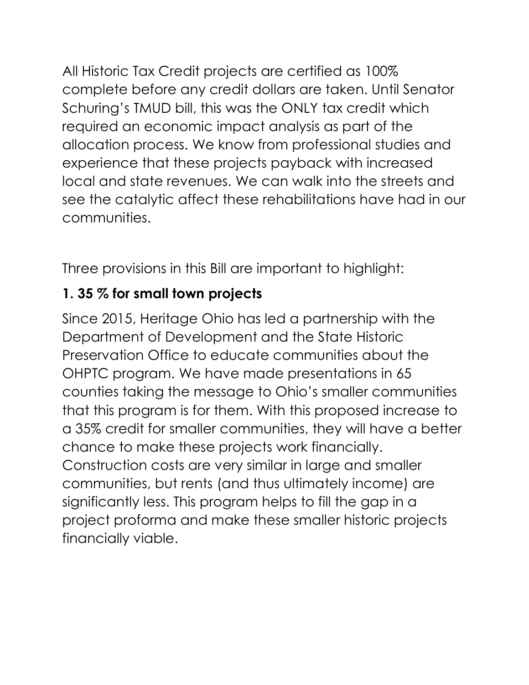All Historic Tax Credit projects are certified as 100% complete before any credit dollars are taken. Until Senator Schuring's TMUD bill, this was the ONLY tax credit which required an economic impact analysis as part of the allocation process. We know from professional studies and experience that these projects payback with increased local and state revenues. We can walk into the streets and see the catalytic affect these rehabilitations have had in our communities.

Three provisions in this Bill are important to highlight:

## 1. 35 % for small town projects

Since 2015, Heritage Ohio has led a partnership with the Department of Development and the State Historic Preservation Office to educate communities about the OHPTC program. We have made presentations in 65 counties taking the message to Ohio's smaller communities that this program is for them. With this proposed increase to a 35% credit for smaller communities, they will have a better chance to make these projects work financially. Construction costs are very similar in large and smaller communities, but rents (and thus ultimately income) are significantly less. This program helps to fill the gap in a project proforma and make these smaller historic projects financially viable.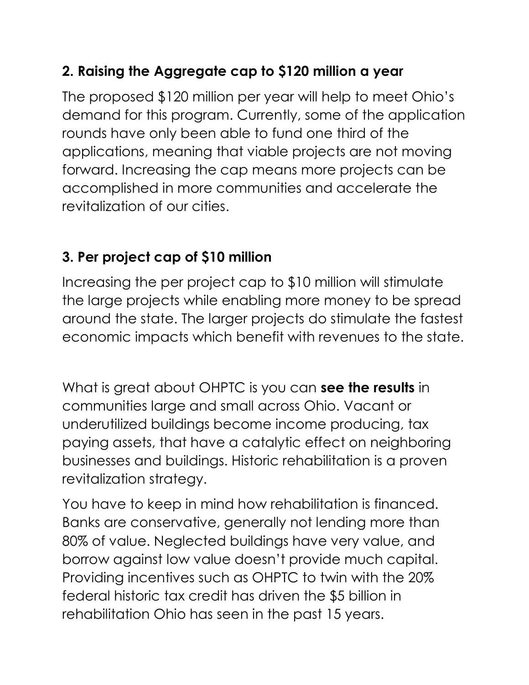## 2. Raising the Aggregate cap to \$120 million a year

The proposed \$120 million per year will help to meet Ohio's demand for this program. Currently, some of the application rounds have only been able to fund one third of the applications, meaning that viable projects are not moving forward. Increasing the cap means more projects can be accomplished in more communities and accelerate the revitalization of our cities.

# 3. Per project cap of \$10 million

Increasing the per project cap to \$10 million will stimulate the large projects while enabling more money to be spread around the state. The larger projects do stimulate the fastest economic impacts which benefit with revenues to the state.

What is great about OHPTC is you can see the results in communities large and small across Ohio. Vacant or underutilized buildings become income producing, tax paying assets, that have a catalytic effect on neighboring businesses and buildings. Historic rehabilitation is a proven revitalization strategy.

You have to keep in mind how rehabilitation is financed. Banks are conservative, generally not lending more than 80% of value. Neglected buildings have very value, and borrow against low value doesn't provide much capital. Providing incentives such as OHPTC to twin with the 20% federal historic tax credit has driven the \$5 billion in rehabilitation Ohio has seen in the past 15 years.